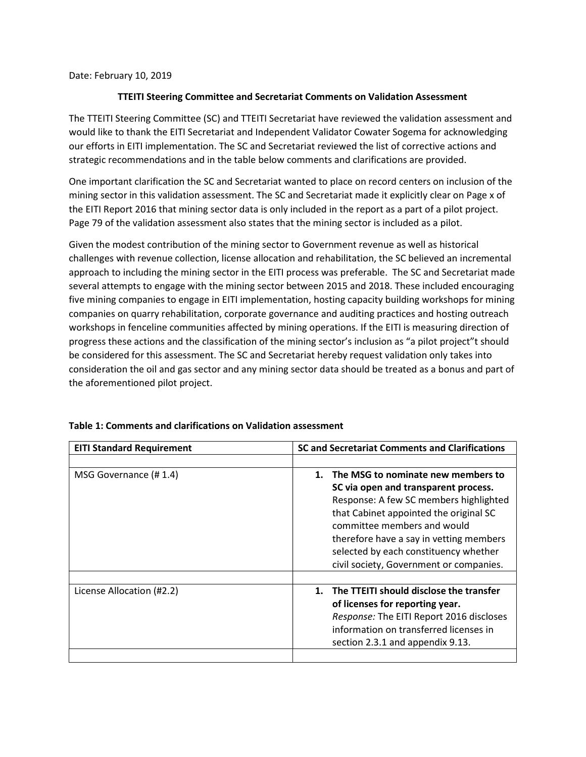Date: February 10, 2019

## TTEITI Steering Committee and Secretariat Comments on Validation Assessment

The TTEITI Steering Committee (SC) and TTEITI Secretariat have reviewed the validation assessment and would like to thank the EITI Secretariat and Independent Validator Cowater Sogema for acknowledging our efforts in EITI implementation. The SC and Secretariat reviewed the list of corrective actions and strategic recommendations and in the table below comments and clarifications are provided.

One important clarification the SC and Secretariat wanted to place on record centers on inclusion of the mining sector in this validation assessment. The SC and Secretariat made it explicitly clear on Page x of the EITI Report 2016 that mining sector data is only included in the report as a part of a pilot project. Page 79 of the validation assessment also states that the mining sector is included as a pilot.

Given the modest contribution of the mining sector to Government revenue as well as historical challenges with revenue collection, license allocation and rehabilitation, the SC believed an incremental approach to including the mining sector in the EITI process was preferable. The SC and Secretariat made several attempts to engage with the mining sector between 2015 and 2018. These included encouraging five mining companies to engage in EITI implementation, hosting capacity building workshops for mining companies on quarry rehabilitation, corporate governance and auditing practices and hosting outreach workshops in fenceline communities affected by mining operations. If the EITI is measuring direction of progress these actions and the classification of the mining sector's inclusion as "a pilot project"t should be considered for this assessment. The SC and Secretariat hereby request validation only takes into consideration the oil and gas sector and any mining sector data should be treated as a bonus and part of the aforementioned pilot project.

| <b>EITI Standard Requirement</b> | SC and Secretariat Comments and Clarifications |
|----------------------------------|------------------------------------------------|
|                                  |                                                |
| MSG Governance (#1.4)            | 1. The MSG to nominate new members to          |
|                                  | SC via open and transparent process.           |
|                                  | Response: A few SC members highlighted         |
|                                  | that Cabinet appointed the original SC         |
|                                  | committee members and would                    |
|                                  | therefore have a say in vetting members        |
|                                  | selected by each constituency whether          |
|                                  | civil society, Government or companies.        |
|                                  |                                                |
| License Allocation (#2.2)        | 1. The TTEITI should disclose the transfer     |
|                                  | of licenses for reporting year.                |
|                                  | Response: The EITI Report 2016 discloses       |
|                                  | information on transferred licenses in         |
|                                  | section 2.3.1 and appendix 9.13.               |
|                                  |                                                |

## Table 1: Comments and clarifications on Validation assessment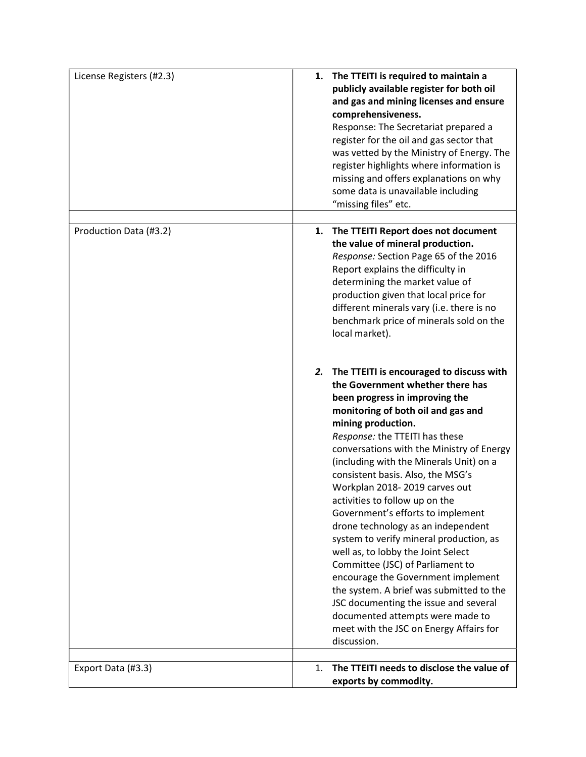| License Registers (#2.3) | The TTEITI is required to maintain a<br>1.<br>publicly available register for both oil<br>and gas and mining licenses and ensure<br>comprehensiveness.<br>Response: The Secretariat prepared a<br>register for the oil and gas sector that<br>was vetted by the Ministry of Energy. The<br>register highlights where information is<br>missing and offers explanations on why<br>some data is unavailable including<br>"missing files" etc.                                                                                                                                                                                                                                                                                                                                                                                              |
|--------------------------|------------------------------------------------------------------------------------------------------------------------------------------------------------------------------------------------------------------------------------------------------------------------------------------------------------------------------------------------------------------------------------------------------------------------------------------------------------------------------------------------------------------------------------------------------------------------------------------------------------------------------------------------------------------------------------------------------------------------------------------------------------------------------------------------------------------------------------------|
| Production Data (#3.2)   | The TTEITI Report does not document<br>1.<br>the value of mineral production.<br>Response: Section Page 65 of the 2016<br>Report explains the difficulty in<br>determining the market value of<br>production given that local price for<br>different minerals vary (i.e. there is no<br>benchmark price of minerals sold on the<br>local market).                                                                                                                                                                                                                                                                                                                                                                                                                                                                                        |
|                          | 2. The TTEITI is encouraged to discuss with<br>the Government whether there has<br>been progress in improving the<br>monitoring of both oil and gas and<br>mining production.<br>Response: the TTEITI has these<br>conversations with the Ministry of Energy<br>(including with the Minerals Unit) on a<br>consistent basis. Also, the MSG's<br>Workplan 2018-2019 carves out<br>activities to follow up on the<br>Government's efforts to implement<br>drone technology as an independent<br>system to verify mineral production, as<br>well as, to lobby the Joint Select<br>Committee (JSC) of Parliament to<br>encourage the Government implement<br>the system. A brief was submitted to the<br>JSC documenting the issue and several<br>documented attempts were made to<br>meet with the JSC on Energy Affairs for<br>discussion. |
| Export Data (#3.3)       | The TTEITI needs to disclose the value of<br>1.<br>exports by commodity.                                                                                                                                                                                                                                                                                                                                                                                                                                                                                                                                                                                                                                                                                                                                                                 |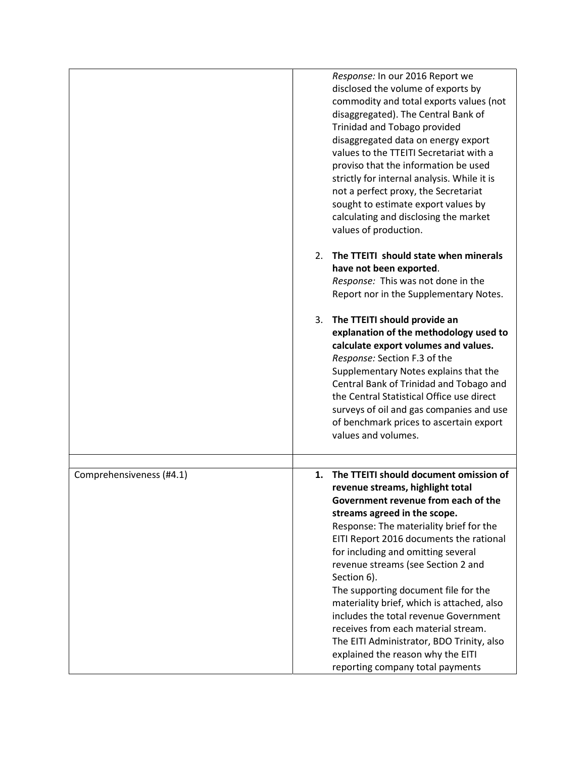|                          | Response: In our 2016 Report we<br>disclosed the volume of exports by<br>commodity and total exports values (not<br>disaggregated). The Central Bank of<br>Trinidad and Tobago provided<br>disaggregated data on energy export<br>values to the TTEITI Secretariat with a<br>proviso that the information be used<br>strictly for internal analysis. While it is<br>not a perfect proxy, the Secretariat<br>sought to estimate export values by                                                                                                                                                                                      |
|--------------------------|--------------------------------------------------------------------------------------------------------------------------------------------------------------------------------------------------------------------------------------------------------------------------------------------------------------------------------------------------------------------------------------------------------------------------------------------------------------------------------------------------------------------------------------------------------------------------------------------------------------------------------------|
|                          | calculating and disclosing the market<br>values of production.                                                                                                                                                                                                                                                                                                                                                                                                                                                                                                                                                                       |
|                          | The TTEITI should state when minerals<br>2.<br>have not been exported.<br>Response: This was not done in the<br>Report nor in the Supplementary Notes.                                                                                                                                                                                                                                                                                                                                                                                                                                                                               |
|                          | The TTEITI should provide an<br>3.<br>explanation of the methodology used to<br>calculate export volumes and values.<br>Response: Section F.3 of the<br>Supplementary Notes explains that the<br>Central Bank of Trinidad and Tobago and<br>the Central Statistical Office use direct<br>surveys of oil and gas companies and use<br>of benchmark prices to ascertain export<br>values and volumes.                                                                                                                                                                                                                                  |
| Comprehensiveness (#4.1) | The TTEITI should document omission of<br>1.<br>revenue streams, highlight total<br>Government revenue from each of the<br>streams agreed in the scope.<br>Response: The materiality brief for the<br>EITI Report 2016 documents the rational<br>for including and omitting several<br>revenue streams (see Section 2 and<br>Section 6).<br>The supporting document file for the<br>materiality brief, which is attached, also<br>includes the total revenue Government<br>receives from each material stream.<br>The EITI Administrator, BDO Trinity, also<br>explained the reason why the EITI<br>reporting company total payments |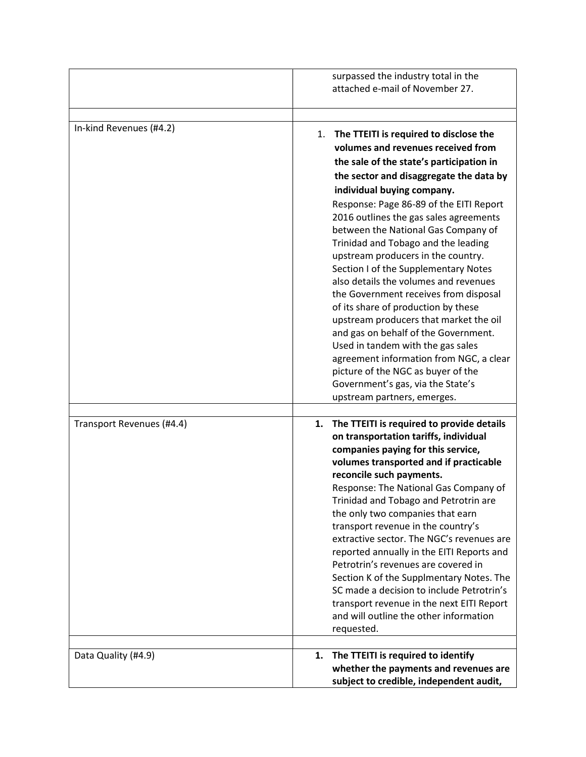|                           | surpassed the industry total in the<br>attached e-mail of November 27.                                                                                                                                                                                                                                                                                                                                                                                                                                                                                                                                                                                                                                                                                                                                                                                        |
|---------------------------|---------------------------------------------------------------------------------------------------------------------------------------------------------------------------------------------------------------------------------------------------------------------------------------------------------------------------------------------------------------------------------------------------------------------------------------------------------------------------------------------------------------------------------------------------------------------------------------------------------------------------------------------------------------------------------------------------------------------------------------------------------------------------------------------------------------------------------------------------------------|
| In-kind Revenues (#4.2)   | The TTEITI is required to disclose the<br>1.<br>volumes and revenues received from<br>the sale of the state's participation in<br>the sector and disaggregate the data by<br>individual buying company.<br>Response: Page 86-89 of the EITI Report<br>2016 outlines the gas sales agreements<br>between the National Gas Company of<br>Trinidad and Tobago and the leading<br>upstream producers in the country.<br>Section I of the Supplementary Notes<br>also details the volumes and revenues<br>the Government receives from disposal<br>of its share of production by these<br>upstream producers that market the oil<br>and gas on behalf of the Government.<br>Used in tandem with the gas sales<br>agreement information from NGC, a clear<br>picture of the NGC as buyer of the<br>Government's gas, via the State's<br>upstream partners, emerges. |
| Transport Revenues (#4.4) | The TTEITI is required to provide details<br>1.<br>on transportation tariffs, individual<br>companies paying for this service,<br>volumes transported and if practicable<br>reconcile such payments.<br>Response: The National Gas Company of<br>Trinidad and Tobago and Petrotrin are<br>the only two companies that earn<br>transport revenue in the country's<br>extractive sector. The NGC's revenues are<br>reported annually in the EITI Reports and<br>Petrotrin's revenues are covered in<br>Section K of the Supplmentary Notes. The<br>SC made a decision to include Petrotrin's<br>transport revenue in the next EITI Report<br>and will outline the other information<br>requested.                                                                                                                                                               |
| Data Quality (#4.9)       | 1. The TTEITI is required to identify<br>whether the payments and revenues are<br>subject to credible, independent audit,                                                                                                                                                                                                                                                                                                                                                                                                                                                                                                                                                                                                                                                                                                                                     |